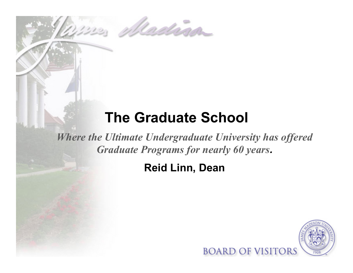# **The Graduate School**

ne Madrid

*Where the Ultimate Undergraduate University has offered Graduate Programs for nearly 60 years.* 

## **Reid Linn, Dean**

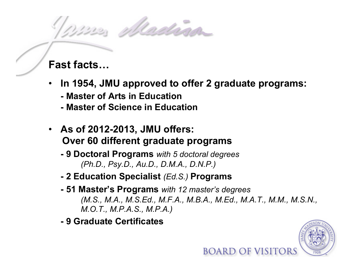no Madrin

#### **Fast facts…**

- **In 1954, JMU approved to offer 2 graduate programs:** 
	- **Master of Arts in Education**
	- **Master of Science in Education**
- **As of 2012-2013, JMU offers: Over 60 different graduate programs** 
	- **9 Doctoral Programs** *with 5 doctoral degrees (Ph.D., Psy.D., Au.D., D.M.A., D.N.P.)*
	- **2 Education Specialist** *(Ed.S.)* **Programs**
	- **- 51 Master's Programs** *with 12 master's degrees (M.S., M.A., M.S.Ed., M.F.A., M.B.A., M.Ed., M.A.T., M.M., M.S.N., M.O.T., M.P.A.S., M.P.A.)*
	- **9 Graduate Certificates**

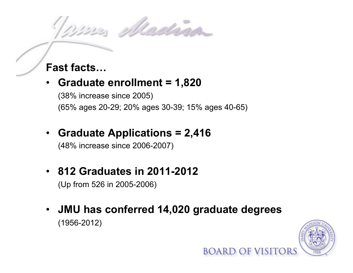no ulladina

### **Fast facts…**

- **Graduate enrollment = 1,820**  (38% increase since 2005) (65% ages 20-29; 20% ages 30-39; 15% ages 40-65)
- **Graduate Applications = 2,416**

(48% increase since 2006-2007)

- **812 Graduates in 2011-2012**  (Up from 526 in 2005-2006)
- **JMU has conferred 14,020 graduate degrees**  (1956-2012)

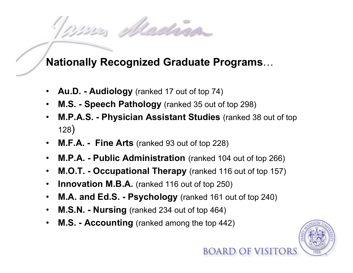nuna Madrian

#### **Nationally Recognized Graduate Programs**…

- **Au.D. Audiology** (ranked 17 out of top 74)
- **M.S. Speech Pathology** (ranked 35 out of top 298)
- **M.P.A.S. Physician Assistant Studies** (ranked 38 out of top 128)
- **M.F.A. Fine Arts** (ranked 93 out of top 228)
- **M.P.A. Public Administration** (ranked 104 out of top 266)
- **M.O.T. Occupational Therapy** (ranked 116 out of top 157)
- **Innovation M.B.A.** (ranked 116 out of top 250)
- **M.A. and Ed.S. Psychology** (ranked 161 out of top 240)
- **M.S.N. Nursing** (ranked 234 out of top 464)
- **M.S. Accounting** (ranked among the top 442)

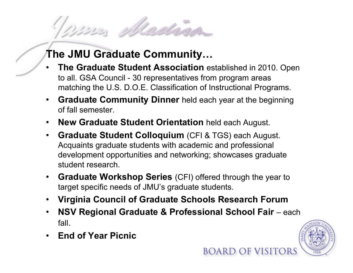## **The JMU Graduate Community…**

nuna placina

- **The Graduate Student Association** established in 2010. Open to all. GSA Council - 30 representatives from program areas matching the U.S. D.O.E. Classification of Instructional Programs.
- **Graduate Community Dinner** held each year at the beginning of fall semester.
- **New Graduate Student Orientation** held each August.
- **Graduate Student Colloquium** (CFI & TGS) each August. Acquaints graduate students with academic and professional development opportunities and networking; showcases graduate student research.
- **Graduate Workshop Series** (CFI) offered through the year to target specific needs of JMU's graduate students.
- **Virginia Council of Graduate Schools Research Forum**
- **NSV Regional Graduate & Professional School Fair** each fall.
- **End of Year Picnic**

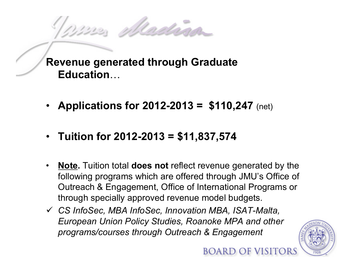Marin Madrid

**Revenue generated through Graduate Education**…

- **Applications for 2012-2013 = \$110,247** (net)
- **Tuition for 2012-2013 = \$11,837,574**
- **Note.** Tuition total **does not** reflect revenue generated by the following programs which are offered through JMU's Office of Outreach & Engagement, Office of International Programs or through specially approved revenue model budgets.
- ü *CS InfoSec, MBA InfoSec, Innovation MBA, ISAT-Malta, European Union Policy Studies, Roanoke MPA and other programs/courses through Outreach & Engagement*

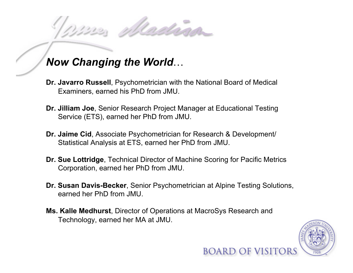Madrid

- **Dr. Javarro Russell**, Psychometrician with the National Board of Medical Examiners, earned his PhD from JMU.
- **Dr. Jilliam Joe**, Senior Research Project Manager at Educational Testing Service (ETS), earned her PhD from JMU.
- **Dr. Jaime Cid**, Associate Psychometrician for Research & Development/ Statistical Analysis at ETS, earned her PhD from JMU.
- **Dr. Sue Lottridge**, Technical Director of Machine Scoring for Pacific Metrics Corporation, earned her PhD from JMU.
- **Dr. Susan Davis-Becker**, Senior Psychometrician at Alpine Testing Solutions, earned her PhD from JMU.
- **Ms. Kalle Medhurst**, Director of Operations at MacroSys Research and Technology, earned her MA at JMU.

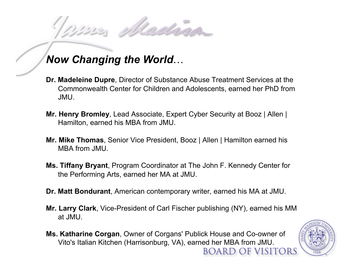Madrid

- **Dr. Madeleine Dupre**, Director of Substance Abuse Treatment Services at the Commonwealth Center for Children and Adolescents, earned her PhD from JMU.
- **Mr. Henry Bromley**, Lead Associate, Expert Cyber Security at Booz | Allen | Hamilton, earned his MBA from JMU.
- **Mr. Mike Thomas**, Senior Vice President, Booz | Allen | Hamilton earned his MBA from JMU.
- **Ms. Tiffany Bryant**, Program Coordinator at The John F. Kennedy Center for the Performing Arts, earned her MA at JMU.
- **Dr. Matt Bondurant**, American contemporary writer, earned his MA at JMU.
- **Mr. Larry Clark**, Vice-President of Carl Fischer publishing (NY), earned his MM at JMU.
- **Ms. Katharine Corgan**, Owner of Corgans' Publick House and Co-owner of Vito's Italian Kitchen (Harrisonburg, VA), earned her MBA from JMU. BOARD OF VISITORS

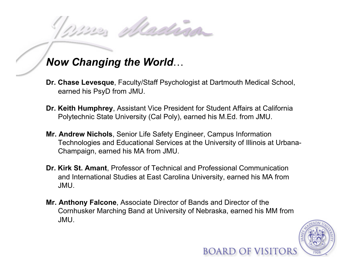rdraw

- **Dr. Chase Levesque**, Faculty/Staff Psychologist at Dartmouth Medical School, earned his PsyD from JMU.
- **Dr. Keith Humphrey**, Assistant Vice President for Student Affairs at California Polytechnic State University (Cal Poly), earned his M.Ed. from JMU.
- **Mr. Andrew Nichols**, Senior Life Safety Engineer, Campus Information Technologies and Educational Services at the University of Illinois at Urbana-Champaign, earned his MA from JMU.
- **Dr. Kirk St. Amant**, Professor of Technical and Professional Communication and International Studies at East Carolina University, earned his MA from JMU.
- **Mr. Anthony Falcone**, Associate Director of Bands and Director of the Cornhusker Marching Band at University of Nebraska, earned his MM from JMU.

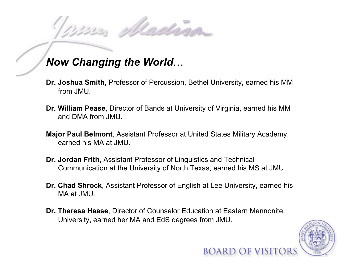Machina

- **Dr. Joshua Smith**, Professor of Percussion, Bethel University, earned his MM from JMU.
- **Dr. William Pease**, Director of Bands at University of Virginia, earned his MM and DMA from JMU.
- **Major Paul Belmont**, Assistant Professor at United States Military Academy, earned his MA at JMU.
- **Dr. Jordan Frith**, Assistant Professor of Linguistics and Technical Communication at the University of North Texas, earned his MS at JMU.
- **Dr. Chad Shrock**, Assistant Professor of English at Lee University, earned his MA at JMU.
- **Dr. Theresa Haase**, Director of Counselor Education at Eastern Mennonite University, earned her MA and EdS degrees from JMU.

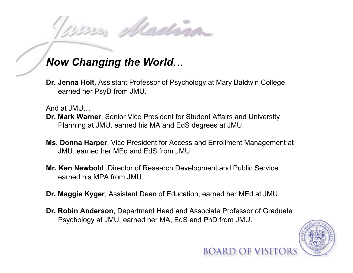Madrian

**Dr. Jenna Holt**, Assistant Professor of Psychology at Mary Baldwin College, earned her PsyD from JMU.

And at JMU…

- **Dr. Mark Warner**, Senior Vice President for Student Affairs and University Planning at JMU, earned his MA and EdS degrees at JMU.
- **Ms. Donna Harper**, Vice President for Access and Enrollment Management at JMU, earned her MEd and EdS from JMU.
- **Mr. Ken Newbold**, Director of Research Development and Public Service earned his MPA from JMU.
- **Dr. Maggie Kyger**, Assistant Dean of Education, earned her MEd at JMU.
- **Dr. Robin Anderson**, Department Head and Associate Professor of Graduate Psychology at JMU, earned her MA, EdS and PhD from JMU.